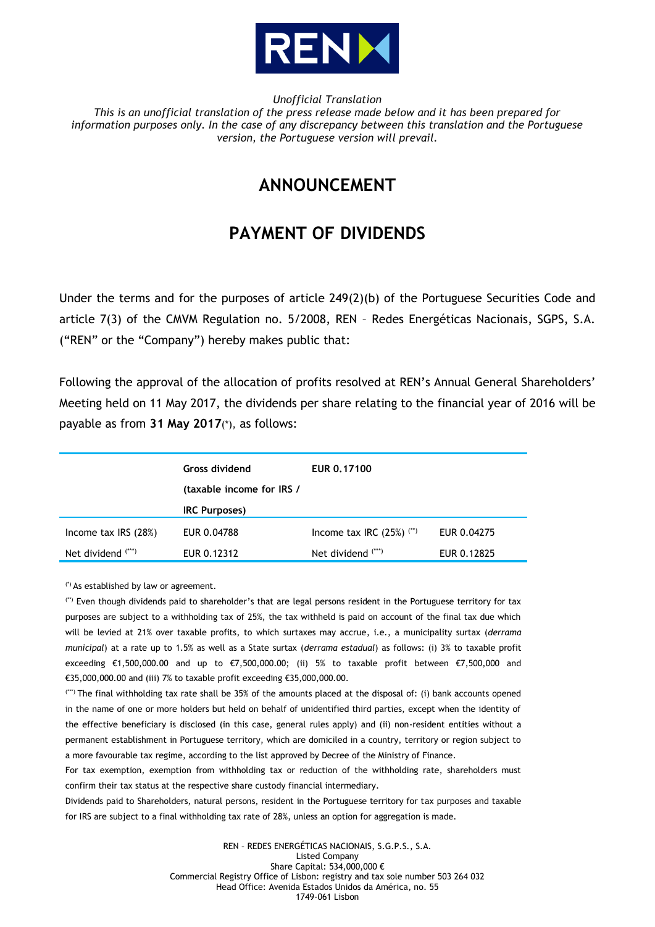

*Unofficial Translation*

*This is an unofficial translation of the press release made below and it has been prepared for information purposes only. In the case of any discrepancy between this translation and the Portuguese version, the Portuguese version will prevail.*

## **ANNOUNCEMENT**

## **PAYMENT OF DIVIDENDS**

Under the terms and for the purposes of article 249(2)(b) of the Portuguese Securities Code and article 7(3) of the CMVM Regulation no. 5/2008, REN – Redes Energéticas Nacionais, SGPS, S.A. ("REN" or the "Company") hereby makes public that:

Following the approval of the allocation of profits resolved at REN's Annual General Shareholders' Meeting held on 11 May 2017, the dividends per share relating to the financial year of 2016 will be payable as from **31 May 2017**(\*), as follows:

|                       | Gross dividend<br>(taxable income for IRS / | EUR 0.17100                            |             |
|-----------------------|---------------------------------------------|----------------------------------------|-------------|
|                       | <b>IRC Purposes)</b>                        |                                        |             |
| Income tax $IRS(28%)$ | EUR 0.04788                                 | Income tax IRC $(25%)$ <sup>(**)</sup> | EUR 0.04275 |
| Net dividend $(***)$  | EUR 0.12312                                 | Net dividend $(***)$                   | EUR 0.12825 |

(\*) As established by law or agreement.

(\*\*) Even though dividends paid to shareholder's that are legal persons resident in the Portuguese territory for tax purposes are subject to a withholding tax of 25%, the tax withheld is paid on account of the final tax due which will be levied at 21% over taxable profits, to which surtaxes may accrue, i.e., a municipality surtax (*derrama municipal*) at a rate up to 1.5% as well as a State surtax (*derrama estadual*) as follows: (i) 3% to taxable profit exceeding €1,500,000.00 and up to €7,500,000.00; (ii) 5% to taxable profit between €7,500,000 and €35,000,000.00 and (iii) 7% to taxable profit exceeding €35,000,000.00.

(\*\*\*) The final withholding tax rate shall be 35% of the amounts placed at the disposal of: (i) bank accounts opened in the name of one or more holders but held on behalf of unidentified third parties, except when the identity of the effective beneficiary is disclosed (in this case, general rules apply) and (ii) non-resident entities without a permanent establishment in Portuguese territory, which are domiciled in a country, territory or region subject to a more favourable tax regime, according to the list approved by Decree of the Ministry of Finance.

For tax exemption, exemption from withholding tax or reduction of the withholding rate, shareholders must confirm their tax status at the respective share custody financial intermediary.

Dividends paid to Shareholders, natural persons, resident in the Portuguese territory for tax purposes and taxable for IRS are subject to a final withholding tax rate of 28%, unless an option for aggregation is made.

> REN – REDES ENERGÉTICAS NACIONAIS, S.G.P.S., S.A. Listed Company Share Capital: 534,000,000 € Commercial Registry Office of Lisbon: registry and tax sole number 503 264 032 Head Office: Avenida Estados Unidos da América, no. 55 1749-061 Lisbon